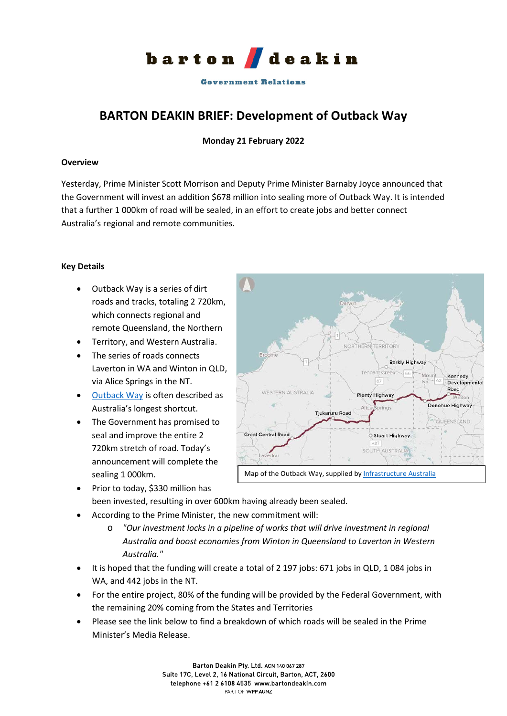

**Government Relations** 

# **BARTON DEAKIN BRIEF: Development of Outback Way**

## **Monday 21 February 2022**

#### **Overview**

Yesterday, Prime Minister Scott Morrison and Deputy Prime Minister Barnaby Joyce announced that the Government will invest an addition \$678 million into sealing more of Outback Way. It is intended that a further 1 000km of road will be sealed, in an effort to create jobs and better connect Australia's regional and remote communities.

## **Key Details**

- Outback Way is a series of dirt roads and tracks, totaling 2 720km, which connects regional and remote Queensland, the Northern
- Territory, and Western Australia.
- The series of roads connects Laverton in WA and Winton in QLD, via Alice Springs in the NT.
- [Outback Way](https://investment.infrastructure.gov.au/projects/key-projects/outback-way.aspx) is often described as Australia's longest shortcut.
- The Government has promised to seal and improve the entire 2 720km stretch of road. Today's announcement will complete the sealing 1 000km.



Map of the Outback Way, supplied by [Infrastructure Australia](https://www.infrastructureaustralia.gov.au/map/outback-way-road-access)

- Prior to today, \$330 million has been invested, resulting in over 600km having already been sealed.
- According to the Prime Minister, the new commitment will:
	- o *"Our investment locks in a pipeline of works that will drive investment in regional Australia and boost economies from Winton in Queensland to Laverton in Western Australia."*
- It is hoped that the funding will create a total of 2 197 jobs: 671 jobs in QLD, 1 084 jobs in WA, and 442 jobs in the NT.
- For the entire project, 80% of the funding will be provided by the Federal Government, with the remaining 20% coming from the States and Territories
- Please see the link below to find a breakdown of which roads will be sealed in the Prime Minister's Media Release.